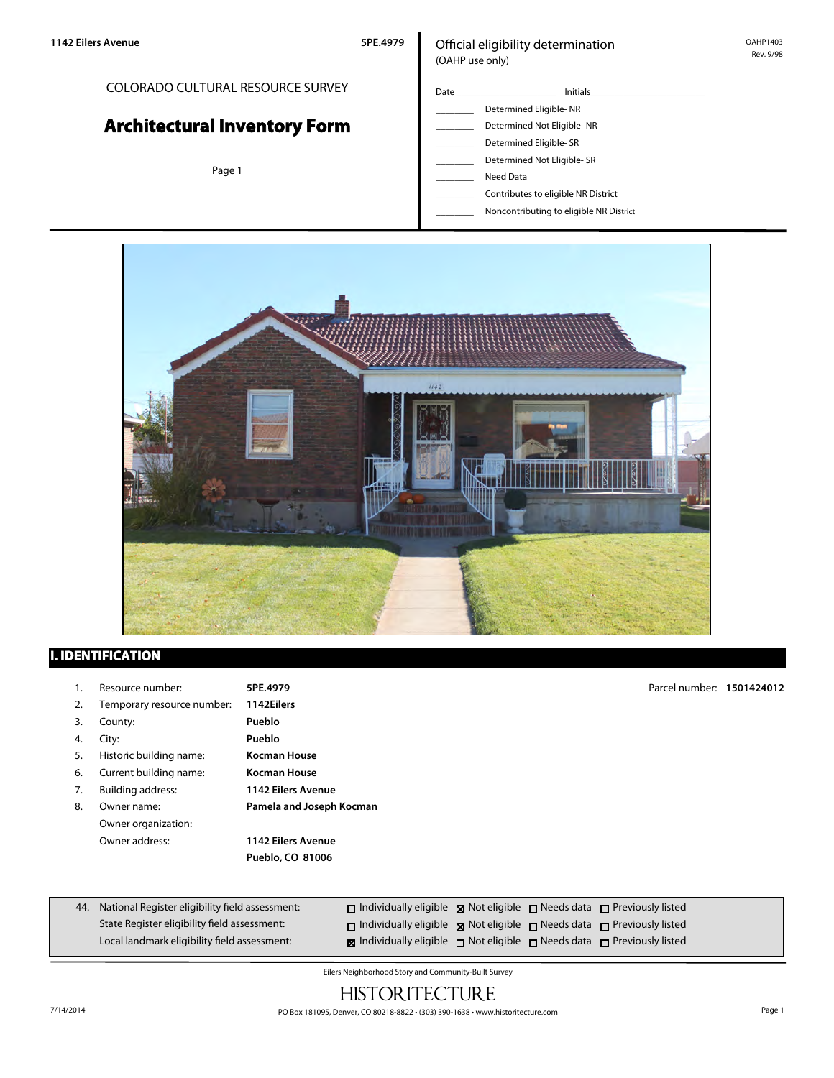### COLORADO CULTURAL RESOURCE SURVEY

# **Architectural Inventory Form**

Page 1

### Official eligibility determination (OAHP use only)

- Date \_\_\_\_\_\_\_\_\_\_\_\_\_\_\_\_\_\_\_\_\_ Initials\_\_\_\_\_\_\_\_\_\_\_\_\_\_\_\_\_\_\_\_\_\_\_\_ Determined Eligible- NR Determined Not Eligible- NR Determined Eligible- SR
	- Determined Not Eligible- SR
	- \_\_\_\_\_\_\_\_ Need Data
	- \_\_\_\_\_\_\_\_ Contributes to eligible NR District
	- \_\_\_\_\_\_\_\_ Noncontributing to eligible NR District



# **I. IDENTIFICATION**

1. Resource number: **5PE.4979** 2. Temporary resource number: **1142Eilers** 3. County: **Pueblo** 4. City: **Pueblo** 5. Historic building name: **Kocman House** 6. Current building name: **Kocman House** 7. Building address: **1142 Eilers Avenue** 8. Owner name: **Pamela and Joseph Kocman** Owner organization: Owner address: **1142 Eilers Avenue Pueblo, CO 81006** Parcel number: **1501424012**

| 44. National Register eligibility field assessment: | $\Box$ Individually eligible $\boxtimes$ Not eligible $\Box$ Needs data $\Box$ Previously listed |  |  |
|-----------------------------------------------------|--------------------------------------------------------------------------------------------------|--|--|
| State Register eligibility field assessment:        | $\Box$ Individually eligible $\boxtimes$ Not eligible $\Box$ Needs data $\Box$ Previously listed |  |  |
| Local landmark eligibility field assessment:        | <b>x</b> Individually eligible not eligible needs data net Previously listed                     |  |  |

Eilers Neighborhood Story and Community-Built Survey

# **HISTORITECTURE**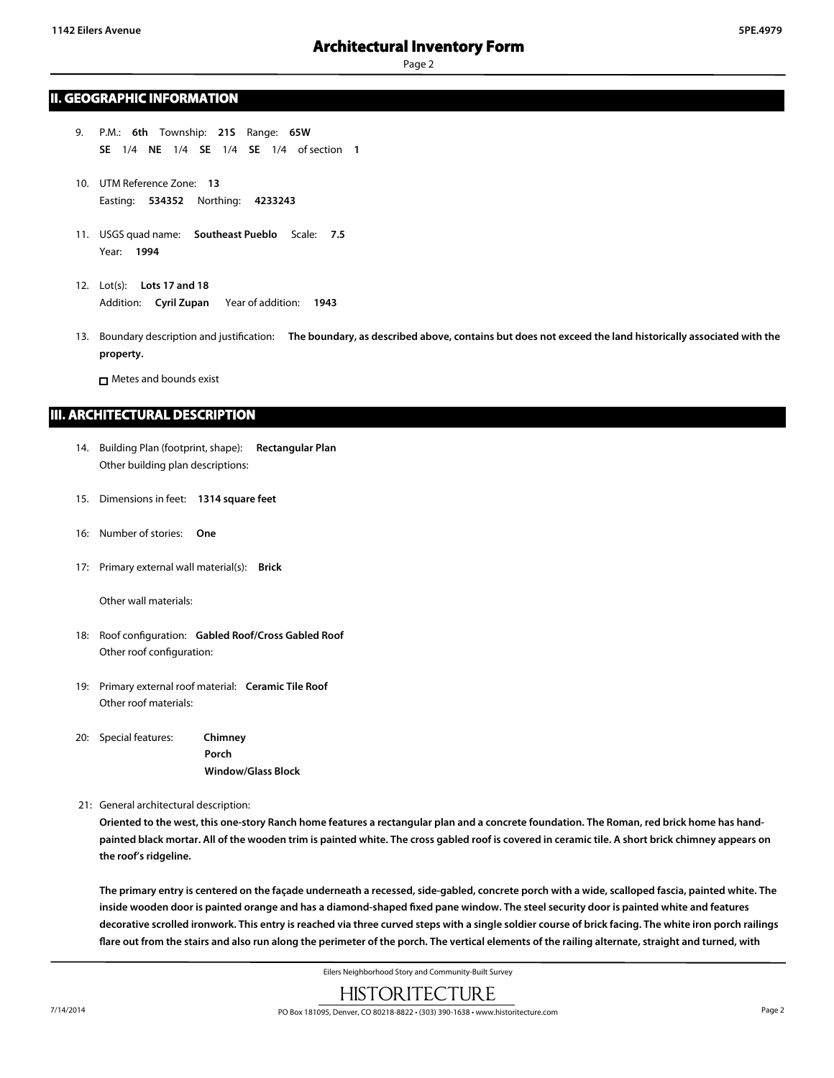### **II. GEOGRAPHIC INFORMATION**

- 9. P.M.: **6th** Township: **21S** Range: **65W SE** 1/4 **NE** 1/4 **SE** 1/4 **SE** 1/4 of section **1**
- 10. UTM Reference Zone: **13** Easting: **534352** Northing: **4233243**
- 11. USGS quad name: **Southeast Pueblo** Scale: **7.5** Year: **1994**
- 12. Lot(s): **Lots 17 and 18** Addition: **Cyril Zupan** Year of addition: **1943**
- 13. Boundary description and justification: **The boundary, as described above, contains but does not exceed the land historically associated with the property.**

Metes and bounds exist

### **III. ARCHITECTURAL DESCRIPTION**

- 14. Building Plan (footprint, shape): **Rectangular Plan** Other building plan descriptions:
- 15. Dimensions in feet: **1314 square feet**
- 16: Number of stories: **One**
- 17: Primary external wall material(s): **Brick**

Other wall materials:

- 18: Roof configuration: **Gabled Roof/Cross Gabled Roof** Other roof configuration:
- 19: Primary external roof material: **Ceramic Tile Roof** Other roof materials:
- 20: Special features: **Chimney Porch Window/Glass Block**

21: General architectural description:

**Oriented to the west, this one-story Ranch home features a rectangular plan and a concrete foundation. The Roman, red brick home has handpainted black mortar. All of the wooden trim is painted white. The cross gabled roof is covered in ceramic tile. A short brick chimney appears on the roof's ridgeline.**

**The primary entry is centered on the façade underneath a recessed, side-gabled, concrete porch with a wide, scalloped fascia, painted white. The inside wooden door is painted orange and has a diamond-shaped fixed pane window. The steel security door is painted white and features decorative scrolled ironwork. This entry is reached via three curved steps with a single soldier course of brick facing. The white iron porch railings flare out from the stairs and also run along the perimeter of the porch. The vertical elements of the railing alternate, straight and turned, with**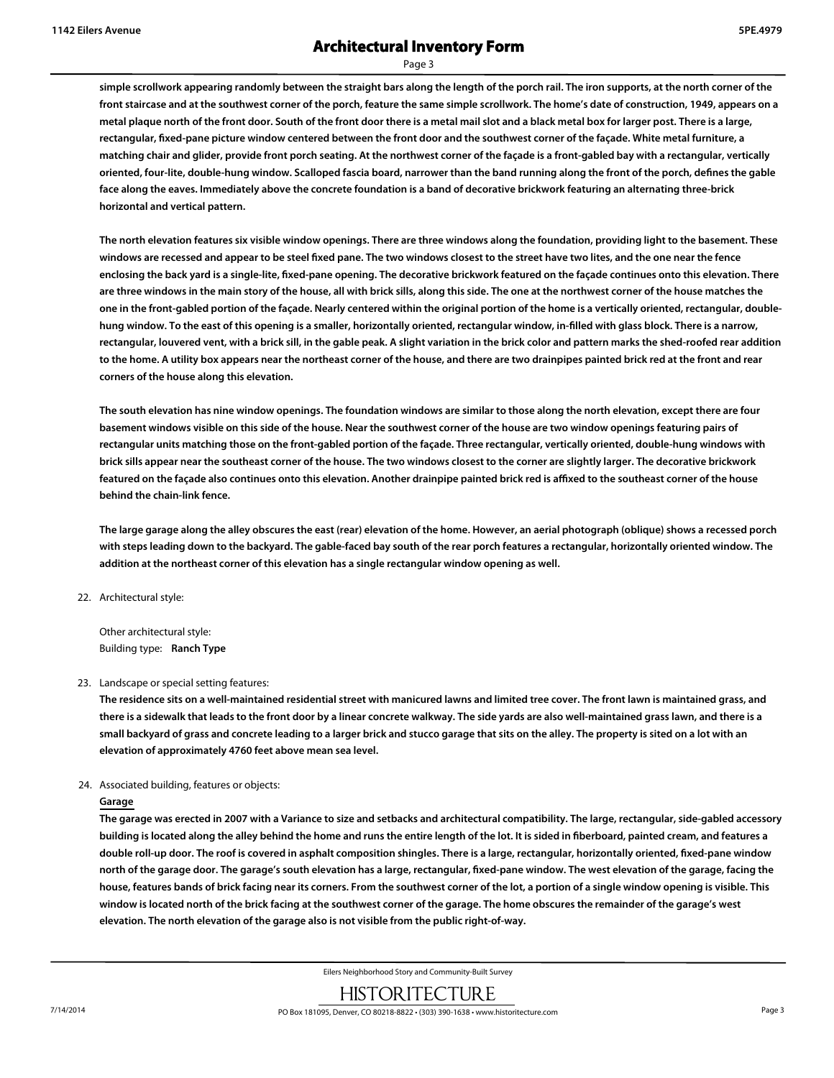Page 3

**simple scrollwork appearing randomly between the straight bars along the length of the porch rail. The iron supports, at the north corner of the front staircase and at the southwest corner of the porch, feature the same simple scrollwork. The home's date of construction, 1949, appears on a metal plaque north of the front door. South of the front door there is a metal mail slot and a black metal box for larger post. There is a large, rectangular, fixed-pane picture window centered between the front door and the southwest corner of the façade. White metal furniture, a matching chair and glider, provide front porch seating. At the northwest corner of the façade is a front-gabled bay with a rectangular, vertically oriented, four-lite, double-hung window. Scalloped fascia board, narrower than the band running along the front of the porch, defines the gable face along the eaves. Immediately above the concrete foundation is a band of decorative brickwork featuring an alternating three-brick horizontal and vertical pattern.**

**The north elevation features six visible window openings. There are three windows along the foundation, providing light to the basement. These windows are recessed and appear to be steel fixed pane. The two windows closest to the street have two lites, and the one near the fence enclosing the back yard is a single-lite, fixed-pane opening. The decorative brickwork featured on the façade continues onto this elevation. There are three windows in the main story of the house, all with brick sills, along this side. The one at the northwest corner of the house matches the one in the front-gabled portion of the façade. Nearly centered within the original portion of the home is a vertically oriented, rectangular, doublehung window. To the east of this opening is a smaller, horizontally oriented, rectangular window, in-filled with glass block. There is a narrow, rectangular, louvered vent, with a brick sill, in the gable peak. A slight variation in the brick color and pattern marks the shed-roofed rear addition to the home. A utility box appears near the northeast corner of the house, and there are two drainpipes painted brick red at the front and rear corners of the house along this elevation.**

**The south elevation has nine window openings. The foundation windows are similar to those along the north elevation, except there are four basement windows visible on this side of the house. Near the southwest corner of the house are two window openings featuring pairs of rectangular units matching those on the front-gabled portion of the façade. Three rectangular, vertically oriented, double-hung windows with brick sills appear near the southeast corner of the house. The two windows closest to the corner are slightly larger. The decorative brickwork featured on the façade also continues onto this elevation. Another drainpipe painted brick red is affixed to the southeast corner of the house behind the chain-link fence.**

**The large garage along the alley obscures the east (rear) elevation of the home. However, an aerial photograph (oblique) shows a recessed porch with steps leading down to the backyard. The gable-faced bay south of the rear porch features a rectangular, horizontally oriented window. The addition at the northeast corner of this elevation has a single rectangular window opening as well.**

22. Architectural style:

Other architectural style: Building type: **Ranch Type**

#### 23. Landscape or special setting features:

**The residence sits on a well-maintained residential street with manicured lawns and limited tree cover. The front lawn is maintained grass, and there is a sidewalk that leads to the front door by a linear concrete walkway. The side yards are also well-maintained grass lawn, and there is a small backyard of grass and concrete leading to a larger brick and stucco garage that sits on the alley. The property is sited on a lot with an elevation of approximately 4760 feet above mean sea level.**

#### 24. Associated building, features or objects:

#### **Garage**

**The garage was erected in 2007 with a Variance to size and setbacks and architectural compatibility. The large, rectangular, side-gabled accessory building is located along the alley behind the home and runs the entire length of the lot. It is sided in fiberboard, painted cream, and features a double roll-up door. The roof is covered in asphalt composition shingles. There is a large, rectangular, horizontally oriented, fixed-pane window north of the garage door. The garage's south elevation has a large, rectangular, fixed-pane window. The west elevation of the garage, facing the house, features bands of brick facing near its corners. From the southwest corner of the lot, a portion of a single window opening is visible. This window is located north of the brick facing at the southwest corner of the garage. The home obscures the remainder of the garage's west elevation. The north elevation of the garage also is not visible from the public right-of-way.**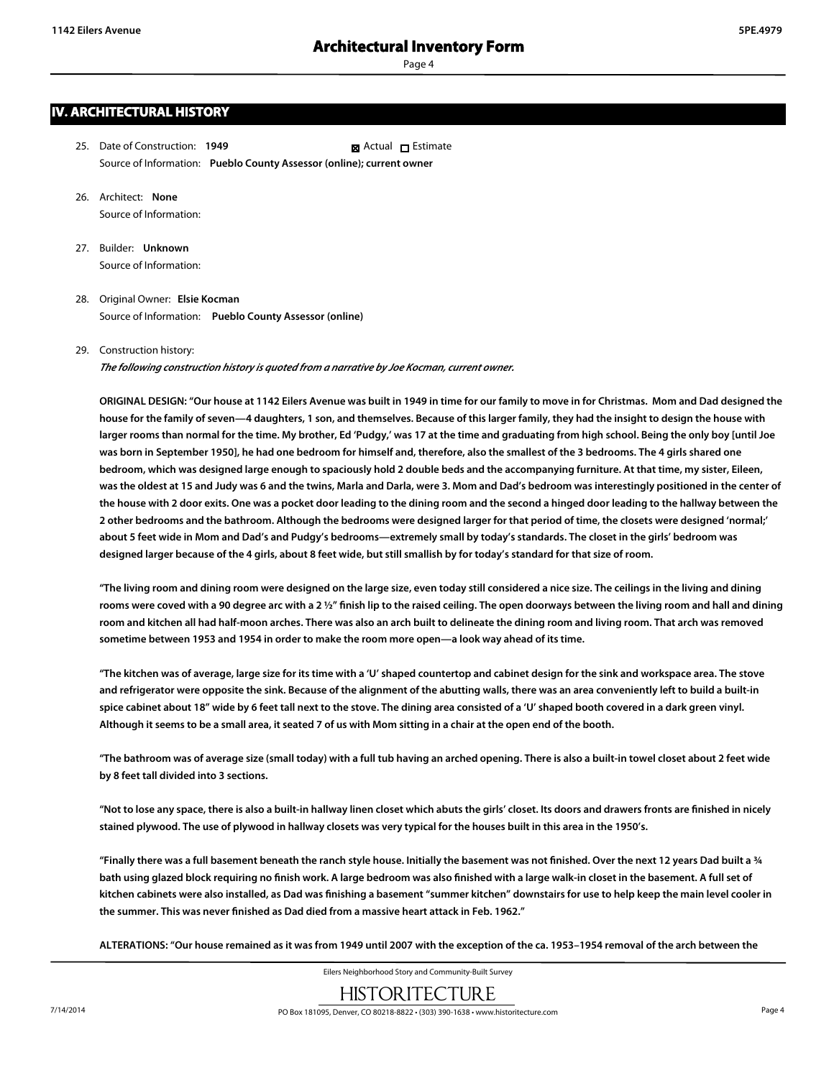# **IV. ARCHITECTURAL HISTORY**

- 25. Date of Construction: **1949** Source of Information: **Pueblo County Assessor (online); current owner Ex** Actual □ Estimate
- 26. Architect: **None** Source of Information:
- 27. Builder: **Unknown** Source of Information:
- 28. Original Owner: **Elsie Kocman** Source of Information: **Pueblo County Assessor (online)**

#### 29. Construction history:

*The following construction history is quoted from a narrative by Joe Kocman, current owner.*

**ORIGINAL DESIGN: "Our house at 1142 Eilers Avenue was built in 1949 in time for our family to move in for Christmas. Mom and Dad designed the house for the family of seven—4 daughters, 1 son, and themselves. Because of this larger family, they had the insight to design the house with larger rooms than normal for the time. My brother, Ed 'Pudgy,' was 17 at the time and graduating from high school. Being the only boy [until Joe was born in September 1950], he had one bedroom for himself and, therefore, also the smallest of the 3 bedrooms. The 4 girls shared one bedroom, which was designed large enough to spaciously hold 2 double beds and the accompanying furniture. At that time, my sister, Eileen, was the oldest at 15 and Judy was 6 and the twins, Marla and Darla, were 3. Mom and Dad's bedroom was interestingly positioned in the center of the house with 2 door exits. One was a pocket door leading to the dining room and the second a hinged door leading to the hallway between the 2 other bedrooms and the bathroom. Although the bedrooms were designed larger for that period of time, the closets were designed 'normal;' about 5 feet wide in Mom and Dad's and Pudgy's bedrooms—extremely small by today's standards. The closet in the girls' bedroom was designed larger because of the 4 girls, about 8 feet wide, but still smallish by for today's standard for that size of room.**

**"The living room and dining room were designed on the large size, even today still considered a nice size. The ceilings in the living and dining rooms were coved with a 90 degree arc with a 2 ½" finish lip to the raised ceiling. The open doorways between the living room and hall and dining room and kitchen all had half-moon arches. There was also an arch built to delineate the dining room and living room. That arch was removed sometime between 1953 and 1954 in order to make the room more open—a look way ahead of its time.**

**"The kitchen was of average, large size for its time with a 'U' shaped countertop and cabinet design for the sink and workspace area. The stove and refrigerator were opposite the sink. Because of the alignment of the abutting walls, there was an area conveniently left to build a built-in spice cabinet about 18" wide by 6 feet tall next to the stove. The dining area consisted of a 'U' shaped booth covered in a dark green vinyl. Although it seems to be a small area, it seated 7 of us with Mom sitting in a chair at the open end of the booth.**

**"The bathroom was of average size (small today) with a full tub having an arched opening. There is also a built-in towel closet about 2 feet wide by 8 feet tall divided into 3 sections.**

**"Not to lose any space, there is also a built-in hallway linen closet which abuts the girls' closet. Its doors and drawers fronts are finished in nicely stained plywood. The use of plywood in hallway closets was very typical for the houses built in this area in the 1950's.**

**"Finally there was a full basement beneath the ranch style house. Initially the basement was not finished. Over the next 12 years Dad built a ¾ bath using glazed block requiring no finish work. A large bedroom was also finished with a large walk-in closet in the basement. A full set of kitchen cabinets were also installed, as Dad was finishing a basement "summer kitchen" downstairs for use to help keep the main level cooler in the summer. This was never finished as Dad died from a massive heart attack in Feb. 1962."**

**ALTERATIONS: "Our house remained as it was from 1949 until 2007 with the exception of the ca. 1953–1954 removal of the arch between the**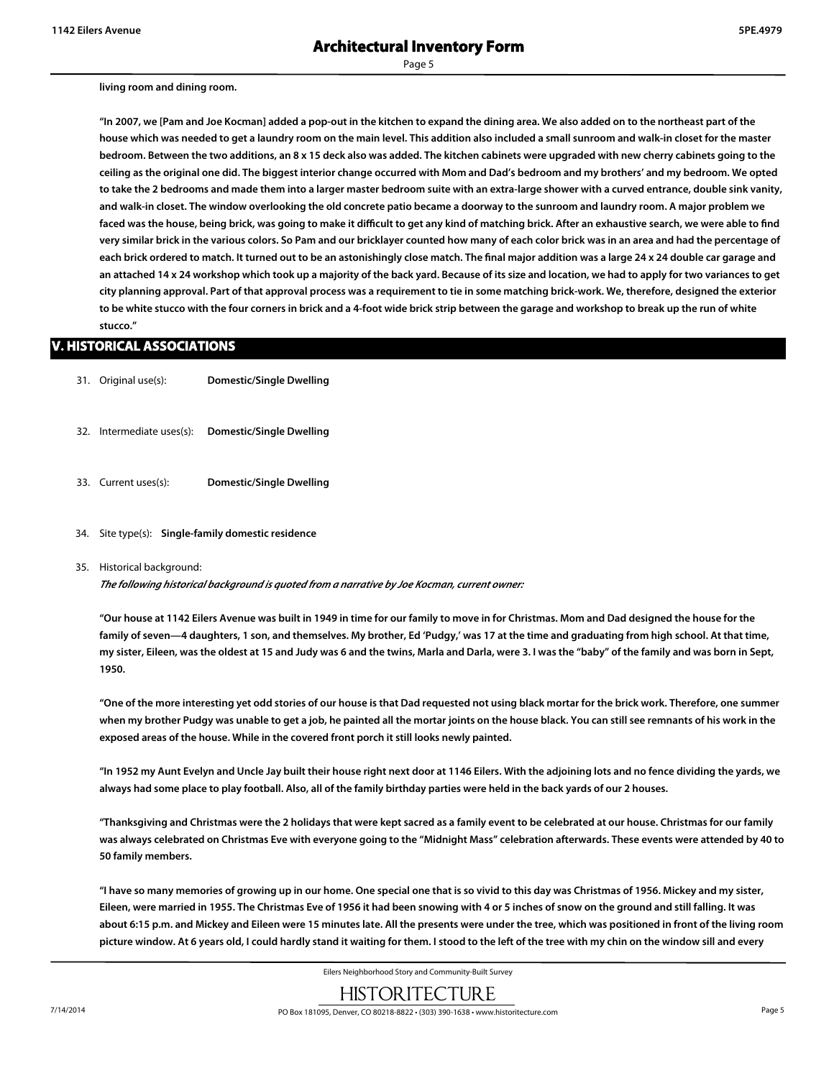#### **living room and dining room.**

**"In 2007, we [Pam and Joe Kocman] added a pop-out in the kitchen to expand the dining area. We also added on to the northeast part of the house which was needed to get a laundry room on the main level. This addition also included a small sunroom and walk-in closet for the master bedroom. Between the two additions, an 8 x 15 deck also was added. The kitchen cabinets were upgraded with new cherry cabinets going to the ceiling as the original one did. The biggest interior change occurred with Mom and Dad's bedroom and my brothers' and my bedroom. We opted to take the 2 bedrooms and made them into a larger master bedroom suite with an extra-large shower with a curved entrance, double sink vanity, and walk-in closet. The window overlooking the old concrete patio became a doorway to the sunroom and laundry room. A major problem we faced was the house, being brick, was going to make it difficult to get any kind of matching brick. After an exhaustive search, we were able to find very similar brick in the various colors. So Pam and our bricklayer counted how many of each color brick was in an area and had the percentage of each brick ordered to match. It turned out to be an astonishingly close match. The final major addition was a large 24 x 24 double car garage and an attached 14 x 24 workshop which took up a majority of the back yard. Because of its size and location, we had to apply for two variances to get city planning approval. Part of that approval process was a requirement to tie in some matching brick-work. We, therefore, designed the exterior to be white stucco with the four corners in brick and a 4-foot wide brick strip between the garage and workshop to break up the run of white stucco."**

#### **V. HISTORICAL ASSOCIATIONS**

- 31. Original use(s): **Domestic/Single Dwelling**
- 32. Intermediate uses(s): **Domestic/Single Dwelling**
- 33. Current uses(s): **Domestic/Single Dwelling**
- 34. Site type(s): **Single-family domestic residence**

#### 35. Historical background:

*The following historical background is quoted from a narrative by Joe Kocman, current owner:*

**"Our house at 1142 Eilers Avenue was built in 1949 in time for our family to move in for Christmas. Mom and Dad designed the house for the family of seven—4 daughters, 1 son, and themselves. My brother, Ed 'Pudgy,' was 17 at the time and graduating from high school. At that time, my sister, Eileen, was the oldest at 15 and Judy was 6 and the twins, Marla and Darla, were 3. I was the "baby" of the family and was born in Sept, 1950.**

**"One of the more interesting yet odd stories of our house is that Dad requested not using black mortar for the brick work. Therefore, one summer when my brother Pudgy was unable to get a job, he painted all the mortar joints on the house black. You can still see remnants of his work in the exposed areas of the house. While in the covered front porch it still looks newly painted.**

**"In 1952 my Aunt Evelyn and Uncle Jay built their house right next door at 1146 Eilers. With the adjoining lots and no fence dividing the yards, we always had some place to play football. Also, all of the family birthday parties were held in the back yards of our 2 houses.**

**"Thanksgiving and Christmas were the 2 holidays that were kept sacred as a family event to be celebrated at our house. Christmas for our family was always celebrated on Christmas Eve with everyone going to the "Midnight Mass" celebration afterwards. These events were attended by 40 to 50 family members.**

**"I have so many memories of growing up in our home. One special one that is so vivid to this day was Christmas of 1956. Mickey and my sister, Eileen, were married in 1955. The Christmas Eve of 1956 it had been snowing with 4 or 5 inches of snow on the ground and still falling. It was about 6:15 p.m. and Mickey and Eileen were 15 minutes late. All the presents were under the tree, which was positioned in front of the living room picture window. At 6 years old, I could hardly stand it waiting for them. I stood to the left of the tree with my chin on the window sill and every**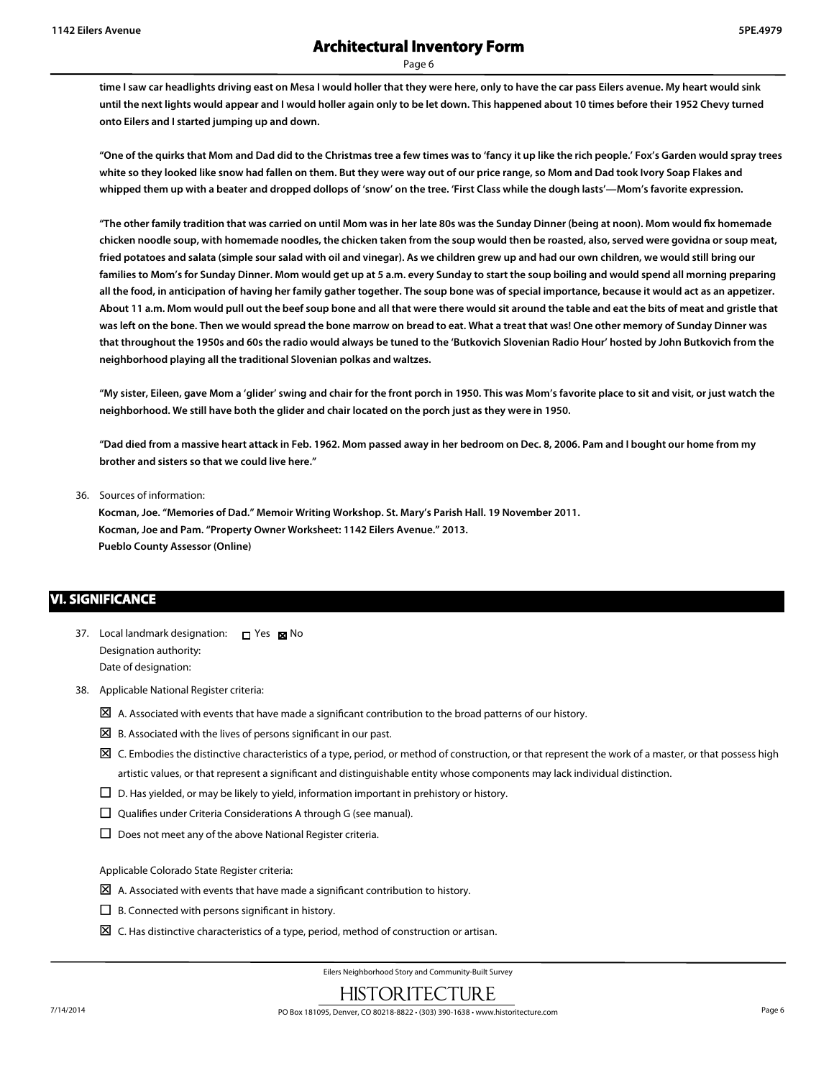**time I saw car headlights driving east on Mesa I would holler that they were here, only to have the car pass Eilers avenue. My heart would sink until the next lights would appear and I would holler again only to be let down. This happened about 10 times before their 1952 Chevy turned onto Eilers and I started jumping up and down.**

**"One of the quirks that Mom and Dad did to the Christmas tree a few times was to 'fancy it up like the rich people.' Fox's Garden would spray trees white so they looked like snow had fallen on them. But they were way out of our price range, so Mom and Dad took Ivory Soap Flakes and whipped them up with a beater and dropped dollops of 'snow' on the tree. 'First Class while the dough lasts'—Mom's favorite expression.**

**"The other family tradition that was carried on until Mom was in her late 80s was the Sunday Dinner (being at noon). Mom would fix homemade chicken noodle soup, with homemade noodles, the chicken taken from the soup would then be roasted, also, served were govidna or soup meat, fried potatoes and salata (simple sour salad with oil and vinegar). As we children grew up and had our own children, we would still bring our families to Mom's for Sunday Dinner. Mom would get up at 5 a.m. every Sunday to start the soup boiling and would spend all morning preparing all the food, in anticipation of having her family gather together. The soup bone was of special importance, because it would act as an appetizer. About 11 a.m. Mom would pull out the beef soup bone and all that were there would sit around the table and eat the bits of meat and gristle that was left on the bone. Then we would spread the bone marrow on bread to eat. What a treat that was! One other memory of Sunday Dinner was that throughout the 1950s and 60s the radio would always be tuned to the 'Butkovich Slovenian Radio Hour' hosted by John Butkovich from the neighborhood playing all the traditional Slovenian polkas and waltzes.**

**"My sister, Eileen, gave Mom a 'glider' swing and chair for the front porch in 1950. This was Mom's favorite place to sit and visit, or just watch the neighborhood. We still have both the glider and chair located on the porch just as they were in 1950.**

**"Dad died from a massive heart attack in Feb. 1962. Mom passed away in her bedroom on Dec. 8, 2006. Pam and I bought our home from my brother and sisters so that we could live here."**

36. Sources of information:

**Kocman, Joe. "Memories of Dad." Memoir Writing Workshop. St. Mary's Parish Hall. 19 November 2011. Kocman, Joe and Pam. "Property Owner Worksheet: 1142 Eilers Avenue." 2013. Pueblo County Assessor (Online)**

## **VI. SIGNIFICANCE**

- 37. Local landmark designation: Designation authority: Date of designation: **□** Yes ⊠No
- 38. Applicable National Register criteria:
	- $\boxtimes$  A. Associated with events that have made a significant contribution to the broad patterns of our history.
	- $\boxtimes$  B. Associated with the lives of persons significant in our past.
	- $\Sigma$  C. Embodies the distinctive characteristics of a type, period, or method of construction, or that represent the work of a master, or that possess high artistic values, or that represent a significant and distinguishable entity whose components may lack individual distinction.
	- $\square$  D. Has yielded, or may be likely to yield, information important in prehistory or history.
	- $\square$  Qualifies under Criteria Considerations A through G (see manual).
	- $\square$  Does not meet any of the above National Register criteria.

Applicable Colorado State Register criteria:

- $\boxtimes$  A. Associated with events that have made a significant contribution to history.
- $\square$  B. Connected with persons significant in history.
- $\boxtimes$  C. Has distinctive characteristics of a type, period, method of construction or artisan.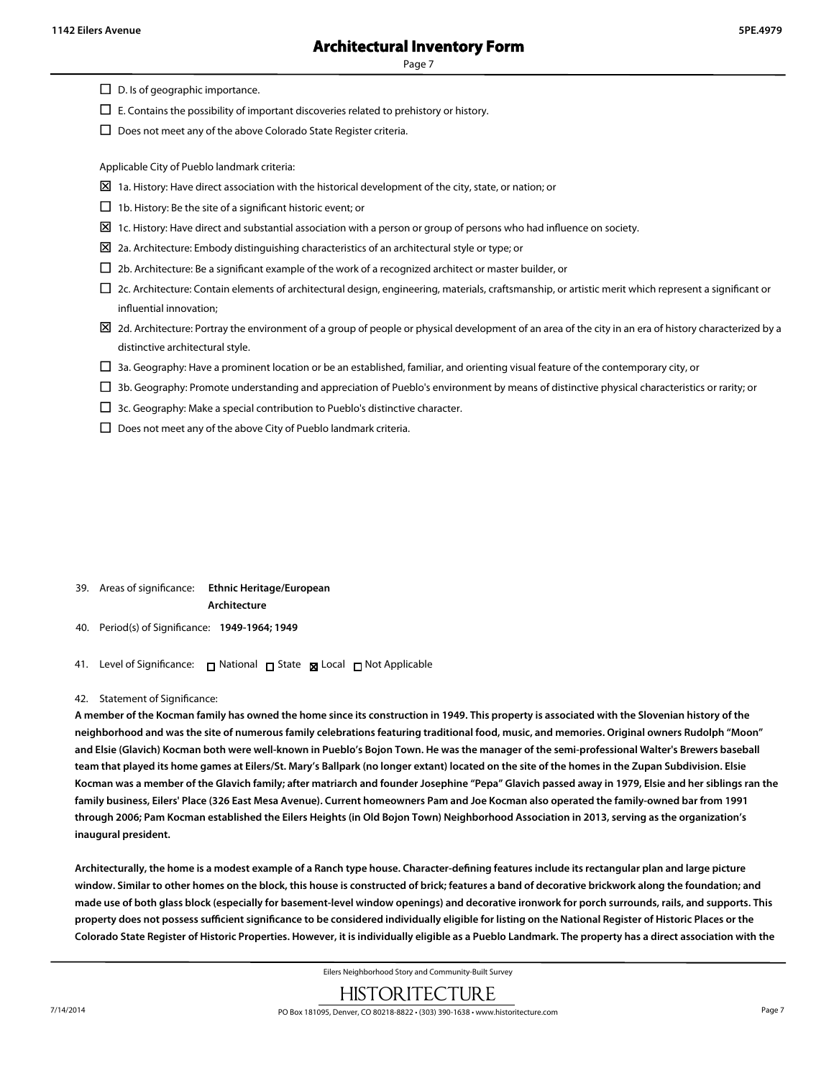$\square$  D. Is of geographic importance.

 $\Box$  E. Contains the possibility of important discoveries related to prehistory or history.

 $\square$  Does not meet any of the above Colorado State Register criteria.

Applicable City of Pueblo landmark criteria:

- $\boxtimes$  1a. History: Have direct association with the historical development of the city, state, or nation; or
- $\Box$  1b. History: Be the site of a significant historic event; or
- $\Sigma$  1c. History: Have direct and substantial association with a person or group of persons who had influence on society.
- $\boxtimes$  2a. Architecture: Embody distinguishing characteristics of an architectural style or type; or
- $\square$  2b. Architecture: Be a significant example of the work of a recognized architect or master builder, or
- £ 2c. Architecture: Contain elements of architectural design, engineering, materials, craftsmanship, or artistic merit which represent a significant or influential innovation;
- $\boxtimes$  2d. Architecture: Portray the environment of a group of people or physical development of an area of the city in an era of history characterized by a distinctive architectural style.
- $\square$  3a. Geography: Have a prominent location or be an established, familiar, and orienting visual feature of the contemporary city, or
- $\square$  3b. Geography: Promote understanding and appreciation of Pueblo's environment by means of distinctive physical characteristics or rarity; or
- $\Box$  3c. Geography: Make a special contribution to Pueblo's distinctive character.
- $\square$  Does not meet any of the above City of Pueblo landmark criteria.

- 39. Areas of significance: **Ethnic Heritage/European Architecture**
- 40. Period(s) of Significance: **1949-1964; 1949**
- 41. Level of Significance: □ National □ State Local □ Not Applicable

#### 42. Statement of Significance:

**A member of the Kocman family has owned the home since its construction in 1949. This property is associated with the Slovenian history of the neighborhood and was the site of numerous family celebrations featuring traditional food, music, and memories. Original owners Rudolph "Moon" and Elsie (Glavich) Kocman both were well-known in Pueblo's Bojon Town. He was the manager of the semi-professional Walter's Brewers baseball team that played its home games at Eilers/St. Mary's Ballpark (no longer extant) located on the site of the homes in the Zupan Subdivision. Elsie Kocman was a member of the Glavich family; after matriarch and founder Josephine "Pepa" Glavich passed away in 1979, Elsie and her siblings ran the family business, Eilers' Place (326 East Mesa Avenue). Current homeowners Pam and Joe Kocman also operated the family-owned bar from 1991 through 2006; Pam Kocman established the Eilers Heights (in Old Bojon Town) Neighborhood Association in 2013, serving as the organization's inaugural president.**

**Architecturally, the home is a modest example of a Ranch type house. Character-defining features include its rectangular plan and large picture window. Similar to other homes on the block, this house is constructed of brick; features a band of decorative brickwork along the foundation; and made use of both glass block (especially for basement-level window openings) and decorative ironwork for porch surrounds, rails, and supports. This property does not possess sufficient significance to be considered individually eligible for listing on the National Register of Historic Places or the Colorado State Register of Historic Properties. However, it is individually eligible as a Pueblo Landmark. The property has a direct association with the**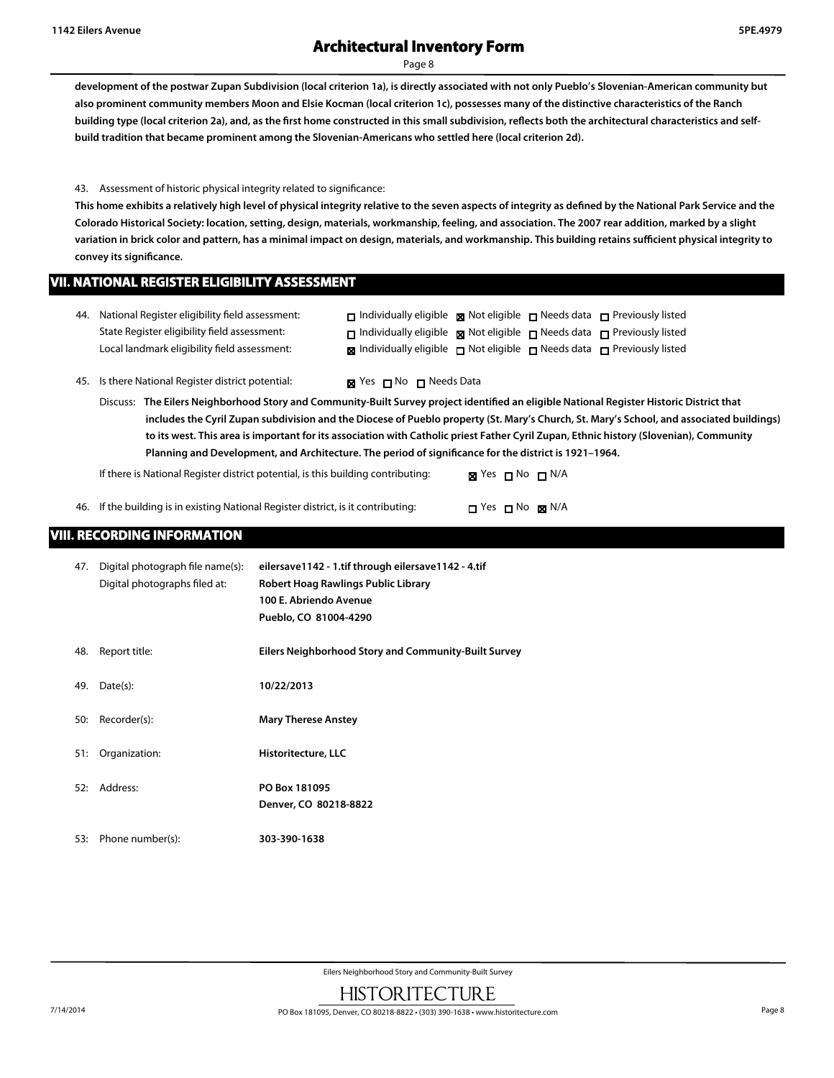Page 8

**development of the postwar Zupan Subdivision (local criterion 1a), is directly associated with not only Pueblo's Slovenian-American community but also prominent community members Moon and Elsie Kocman (local criterion 1c), possesses many of the distinctive characteristics of the Ranch** building type (local criterion 2a), and, as the first home constructed in this small subdivision, reflects both the architectural characteristics and self**build tradition that became prominent among the Slovenian-Americans who settled here (local criterion 2d).**

43. Assessment of historic physical integrity related to significance:

**This home exhibits a relatively high level of physical integrity relative to the seven aspects of integrity as defined by the National Park Service and the Colorado Historical Society: location, setting, design, materials, workmanship, feeling, and association. The 2007 rear addition, marked by a slight variation in brick color and pattern, has a minimal impact on design, materials, and workmanship. This building retains sufficient physical integrity to convey its significance.**

### **VII. NATIONAL REGISTER ELIGIBILITY ASSESSMENT**

| 44. National Register eligibility field assessment: | $\Box$ Individually eligible $\boxtimes$ Not eligible $\Box$ Needs data $\Box$ Previously listed |  |  |
|-----------------------------------------------------|--------------------------------------------------------------------------------------------------|--|--|
| State Register eligibility field assessment:        | $\Box$ Individually eligible $\boxtimes$ Not eligible $\Box$ Needs data $\Box$ Previously listed |  |  |
| Local landmark eligibility field assessment:        | $\boxtimes$ Individually eligible $\Box$ Not eligible $\Box$ Needs data $\Box$ Previously listed |  |  |

45. Is there National Register district potential:  $\blacksquare$  Yes  $\blacksquare$  No  $\blacksquare$  Needs Data

Discuss: **The Eilers Neighborhood Story and Community-Built Survey project identified an eligible National Register Historic District that includes the Cyril Zupan subdivision and the Diocese of Pueblo property (St. Mary's Church, St. Mary's School, and associated buildings) to its west. This area is important for its association with Catholic priest Father Cyril Zupan, Ethnic history (Slovenian), Community Planning and Development, and Architecture. The period of significance for the district is 1921–1964.**

If there is National Register district potential, is this building contributing: **XX** Yes  $\Box$  No  $\Box$  N/A

46. If the building is in existing National Register district, is it contributing:  $\square$  Yes  $\square$  No  $\square$  N/A

# **VIII. RECORDING INFORMATION**

| 47. | Digital photograph file name(s):<br>Digital photographs filed at: | eilersave1142 - 1.tif through eilersave1142 - 4.tif<br>Robert Hoag Rawlings Public Library |
|-----|-------------------------------------------------------------------|--------------------------------------------------------------------------------------------|
|     |                                                                   | 100 E. Abriendo Avenue                                                                     |
|     |                                                                   | Pueblo, CO 81004-4290                                                                      |
| 48. | Report title:                                                     | Eilers Neighborhood Story and Community-Built Survey                                       |
| 49. | Date(s):                                                          | 10/22/2013                                                                                 |
| 50: | Recorder(s):                                                      | <b>Mary Therese Anstey</b>                                                                 |
| 51: | Organization:                                                     | Historitecture, LLC                                                                        |
| 52: | Address:                                                          | PO Box 181095                                                                              |
|     |                                                                   | Denver, CO 80218-8822                                                                      |
| 53: | Phone number(s):                                                  | 303-390-1638                                                                               |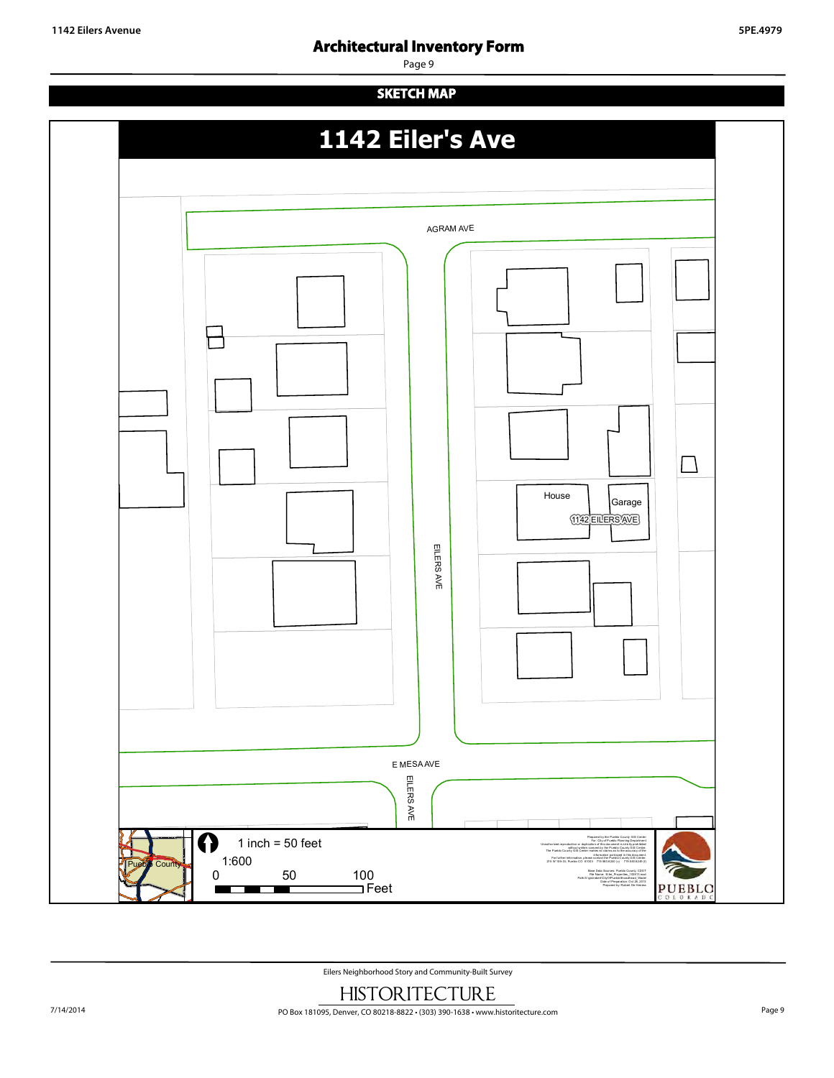Page 9

# **SKETCH MAP 1142 Eiler's Ave** AGRAM AVE Л House Garage 1142 EILERS AVE E MESA AVE EILERSAVE EILERS AVE  $1$  inch = 50 feet Prepared by the Pueblo County GIS Center For: City of Pueblo Planning Department Unauthorized reproduction or duplication of this document is strictly prohibited without written consent by the Pueblo County GIS Center. The Pueblo County GIS Center makes no claims as to the accuracy of the 1:600 information portrayed in this document. For further information, please contact the Pueblo C ounty GIS Center. 215 W 10th St, Pueblo CO 81003 719.583.6240 (v) 719.583.6249 (f) Cou 0 50 100 Base Data Sources: Pueblo County, CDOT File Name: Eiler\_Properties\_102813.mxd Path:S:\gis\robert\CityOfPueblo\Broadhead\_Wade\ Feet Date of Preparation: Oct 28, 2013 PUEBLO Prepared by: Robert De Herrera ٠